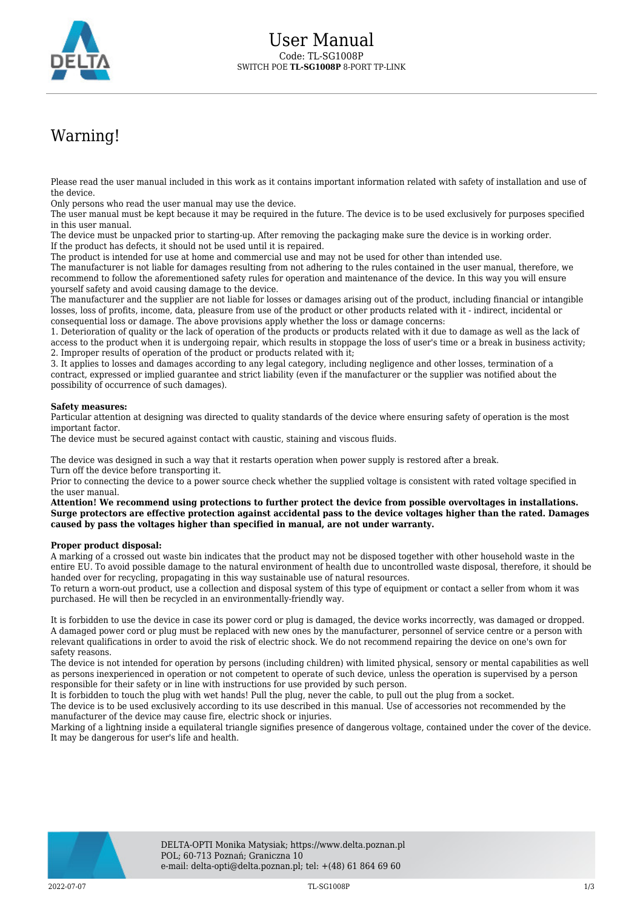

## Warning!

Please read the user manual included in this work as it contains important information related with safety of installation and use of the device.

Only persons who read the user manual may use the device.

The user manual must be kept because it may be required in the future. The device is to be used exclusively for purposes specified in this user manual.

The device must be unpacked prior to starting-up. After removing the packaging make sure the device is in working order. If the product has defects, it should not be used until it is repaired.

The product is intended for use at home and commercial use and may not be used for other than intended use.

The manufacturer is not liable for damages resulting from not adhering to the rules contained in the user manual, therefore, we recommend to follow the aforementioned safety rules for operation and maintenance of the device. In this way you will ensure yourself safety and avoid causing damage to the device.

The manufacturer and the supplier are not liable for losses or damages arising out of the product, including financial or intangible losses, loss of profits, income, data, pleasure from use of the product or other products related with it - indirect, incidental or consequential loss or damage. The above provisions apply whether the loss or damage concerns:

1. Deterioration of quality or the lack of operation of the products or products related with it due to damage as well as the lack of access to the product when it is undergoing repair, which results in stoppage the loss of user's time or a break in business activity; 2. Improper results of operation of the product or products related with it;

3. It applies to losses and damages according to any legal category, including negligence and other losses, termination of a contract, expressed or implied guarantee and strict liability (even if the manufacturer or the supplier was notified about the possibility of occurrence of such damages).

## **Safety measures:**

Particular attention at designing was directed to quality standards of the device where ensuring safety of operation is the most important factor.

The device must be secured against contact with caustic, staining and viscous fluids.

The device was designed in such a way that it restarts operation when power supply is restored after a break. Turn off the device before transporting it.

Prior to connecting the device to a power source check whether the supplied voltage is consistent with rated voltage specified in the user manual.

**Attention! We recommend using protections to further protect the device from possible overvoltages in installations. Surge protectors are effective protection against accidental pass to the device voltages higher than the rated. Damages caused by pass the voltages higher than specified in manual, are not under warranty.**

## **Proper product disposal:**

A marking of a crossed out waste bin indicates that the product may not be disposed together with other household waste in the entire EU. To avoid possible damage to the natural environment of health due to uncontrolled waste disposal, therefore, it should be handed over for recycling, propagating in this way sustainable use of natural resources.

To return a worn-out product, use a collection and disposal system of this type of equipment or contact a seller from whom it was purchased. He will then be recycled in an environmentally-friendly way.

It is forbidden to use the device in case its power cord or plug is damaged, the device works incorrectly, was damaged or dropped. A damaged power cord or plug must be replaced with new ones by the manufacturer, personnel of service centre or a person with relevant qualifications in order to avoid the risk of electric shock. We do not recommend repairing the device on one's own for safety reasons.

The device is not intended for operation by persons (including children) with limited physical, sensory or mental capabilities as well as persons inexperienced in operation or not competent to operate of such device, unless the operation is supervised by a person responsible for their safety or in line with instructions for use provided by such person.

It is forbidden to touch the plug with wet hands! Pull the plug, never the cable, to pull out the plug from a socket.

The device is to be used exclusively according to its use described in this manual. Use of accessories not recommended by the manufacturer of the device may cause fire, electric shock or injuries.

Marking of a lightning inside a equilateral triangle signifies presence of dangerous voltage, contained under the cover of the device. It may be dangerous for user's life and health.

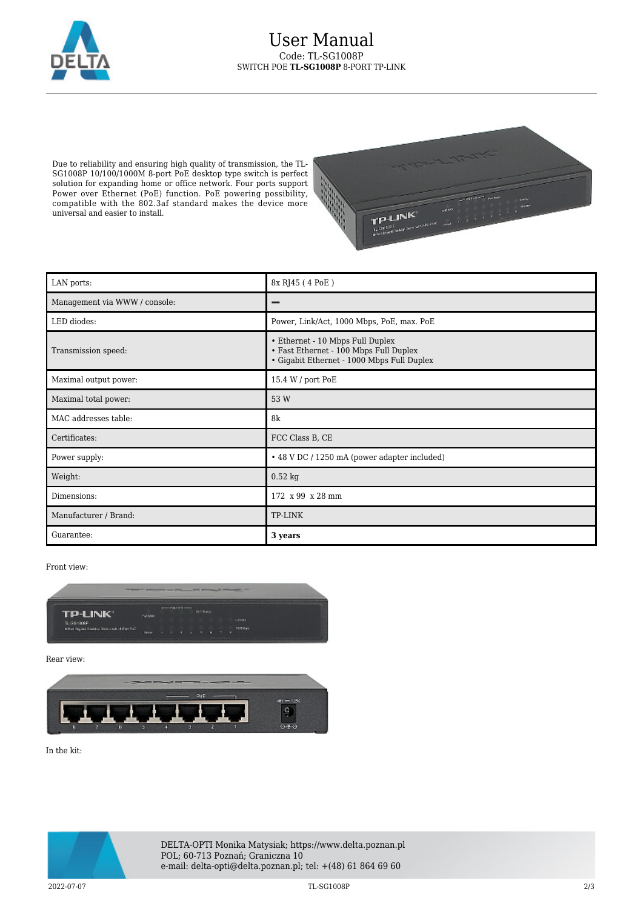

Due to reliability and ensuring high quality of transmission, the TL-SG1008P 10/100/1000M 8-port PoE desktop type switch is perfect solution for expanding home or office network. Four ports support Power over Ethernet (PoE) function. PoE powering possibility, compatible with the 802.3af standard makes the device more universal and easier to install.



| LAN ports:                    | 8x RJ45 (4 PoE)                                                                                                          |
|-------------------------------|--------------------------------------------------------------------------------------------------------------------------|
| Management via WWW / console: |                                                                                                                          |
| LED diodes:                   | Power, Link/Act, 1000 Mbps, PoE, max. PoE                                                                                |
| Transmission speed:           | • Ethernet - 10 Mbps Full Duplex<br>• Fast Ethernet - 100 Mbps Full Duplex<br>• Gigabit Ethernet - 1000 Mbps Full Duplex |
| Maximal output power:         | 15.4 W / port PoE                                                                                                        |
| Maximal total power:          | 53 W                                                                                                                     |
| MAC addresses table:          | 8k                                                                                                                       |
| Certificates:                 | FCC Class B, CE                                                                                                          |
| Power supply:                 | • 48 V DC / 1250 mA (power adapter included)                                                                             |
| Weight:                       | $0.52$ kg                                                                                                                |
| Dimensions:                   | 172 x 99 x 28 mm                                                                                                         |
| Manufacturer / Brand:         | <b>TP-LINK</b>                                                                                                           |
| Guarantee:                    | 3 years                                                                                                                  |

Front view:



Rear view:



In the kit:



2022-07-07 TL-SG1008P 2/3